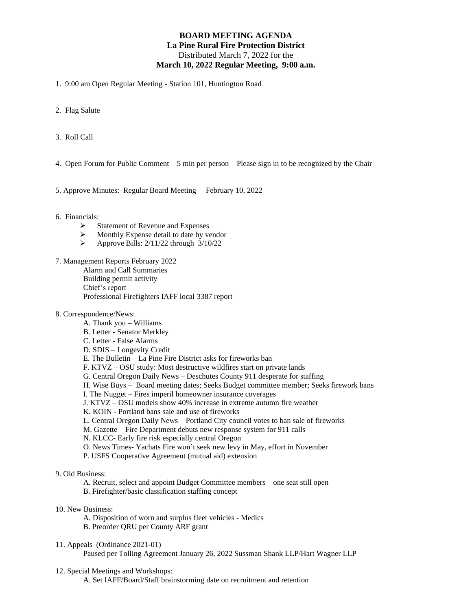## **BOARD MEETING AGENDA La Pine Rural Fire Protection District** Distributed March 7, 2022 for the **March 10, 2022 Regular Meeting, 9:00 a.m.**

1. 9:00 am Open Regular Meeting - Station 101, Huntington Road

- 2. Flag Salute
- 3. Roll Call
- 4. Open Forum for Public Comment 5 min per person Please sign in to be recognized by the Chair
- 5. Approve Minutes: Regular Board Meeting February 10, 2022
- 6. Financials:
	- ➢ Statement of Revenue and Expenses
	- ➢ Monthly Expense detail to date by vendor
	- $\triangleright$  Approve Bills: 2/11/22 through  $3/10/22$
- 7. Management Reports February 2022

Alarm and Call Summaries

Building permit activity

Chief's report

Professional Firefighters IAFF local 3387 report

- 8. Correspondence/News:
	- A. Thank you Williams
	- B. Letter Senator Merkley
	- C. Letter False Alarms
	- D. SDIS Longevity Credit
	- E. The Bulletin La Pine Fire District asks for fireworks ban
	- F. KTVZ OSU study: Most destructive wildfires start on private lands
	- G. Central Oregon Daily News Deschutes County 911 desperate for staffing
	- H. Wise Buys Board meeting dates; Seeks Budget committee member; Seeks firework bans
	- I. The Nugget Fires imperil homeowner insurance coverages
	- J. KTVZ OSU models show 40% increase in extreme autumn fire weather
	- K. KOIN Portland bans sale and use of fireworks
	- L. Central Oregon Daily News Portland City council votes to ban sale of fireworks
	- M. Gazette Fire Department debuts new response system for 911 calls
	- N. KLCC- Early fire risk especially central Oregon
	- O. News Times- Yachats Fire won't seek new levy in May, effort in November
	- P. USFS Cooperative Agreement (mutual aid) extension
- 9. Old Business:
	- A. Recruit, select and appoint Budget Committee members one seat still open
	- B. Firefighter/basic classification staffing concept
- 10. New Business:
	- A. Disposition of worn and surplus fleet vehicles Medics
	- B. Preorder QRU per County ARF grant
- 11. Appeals (Ordinance 2021-01)

Paused per Tolling Agreement January 26, 2022 Sussman Shank LLP/Hart Wagner LLP

12. Special Meetings and Workshops:

A. Set IAFF/Board/Staff brainstorming date on recruitment and retention